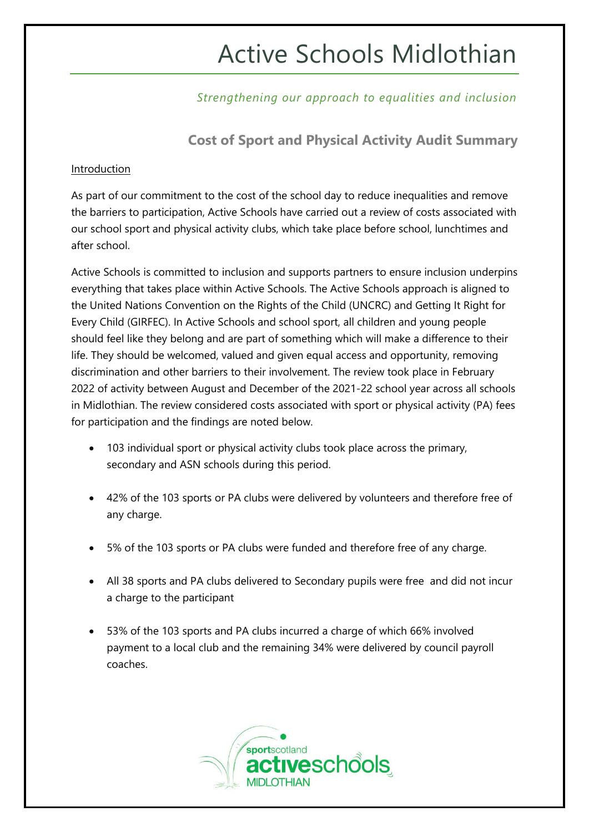# Active Schools Midlothian

### *Strengthening our approach to equalities and inclusion*

**Cost of Sport and Physical Activity Audit Summary**

#### Introduction

As part of our commitment to the cost of the school day to reduce inequalities and remove the barriers to participation, Active Schools have carried out a review of costs associated with our school sport and physical activity clubs, which take place before school, lunchtimes and after school.

Active Schools is committed to inclusion and supports partners to ensure inclusion underpins everything that takes place within Active Schools. The Active Schools approach is aligned to the United Nations Convention on the Rights of the Child (UNCRC) and Getting It Right for Every Child (GIRFEC). In Active Schools and school sport, all children and young people should feel like they belong and are part of something which will make a difference to their life. They should be welcomed, valued and given equal access and opportunity, removing discrimination and other barriers to their involvement. The review took place in February 2022 of activity between August and December of the 2021-22 school year across all schools in Midlothian. The review considered costs associated with sport or physical activity (PA) fees for participation and the findings are noted below.

- 103 individual sport or physical activity clubs took place across the primary, secondary and ASN schools during this period.
- 42% of the 103 sports or PA clubs were delivered by volunteers and therefore free of any charge.
- 5% of the 103 sports or PA clubs were funded and therefore free of any charge.
- All 38 sports and PA clubs delivered to Secondary pupils were free and did not incur a charge to the participant
- 53% of the 103 sports and PA clubs incurred a charge of which 66% involved payment to a local club and the remaining 34% were delivered by council payroll coaches.